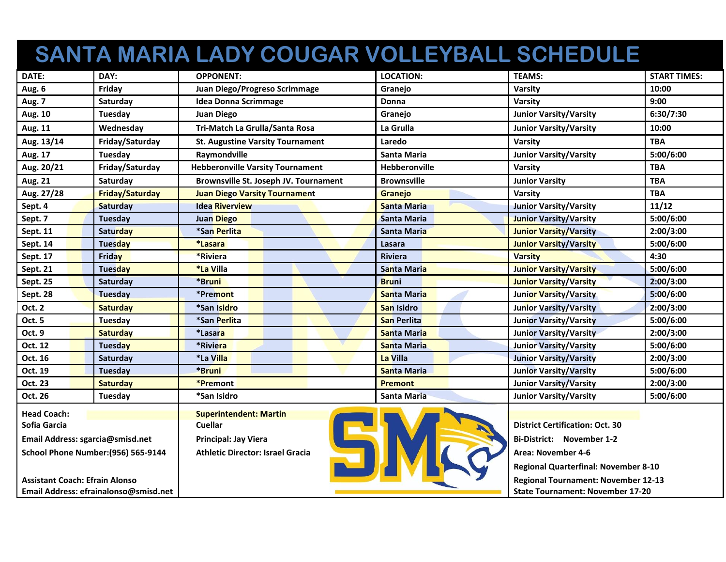## **SANTA MARIA LADY COUGAR VOLLEYBALL SCHEDULE**

| DATE:                                      | DAY:                   | <b>OPPONENT:</b>                              | <b>LOCATION:</b>     | <b>TEAMS:</b>                               | <b>START TIMES:</b> |
|--------------------------------------------|------------------------|-----------------------------------------------|----------------------|---------------------------------------------|---------------------|
| Aug. 6                                     | Friday                 | Juan Diego/Progreso Scrimmage                 | Granejo              | Varsity                                     | 10:00               |
| Aug. 7                                     | Saturday               | <b>Idea Donna Scrimmage</b>                   | Donna                | Varsity                                     | 9:00                |
| Aug. 10                                    | Tuesday                | <b>Juan Diego</b>                             | Granejo              | <b>Junior Varsity/Varsity</b>               | 6:30/7:30           |
| Aug. 11                                    | Wednesday              | Tri-Match La Grulla/Santa Rosa                | La Grulla            | <b>Junior Varsity/Varsity</b>               | 10:00               |
| Aug. 13/14                                 | Friday/Saturday        | <b>St. Augustine Varsity Tournament</b>       | Laredo               | Varsity                                     | <b>TBA</b>          |
| Aug. 17                                    | <b>Tuesday</b>         | Raymondville                                  | <b>Santa Maria</b>   | <b>Junior Varsity/Varsity</b>               | 5:00/6:00           |
| Aug. 20/21                                 | Friday/Saturday        | <b>Hebberonville Varsity Tournament</b>       | <b>Hebberonville</b> | Varsity                                     | TBA                 |
| Aug. 21                                    | Saturday               | <b>Brownsville St. Joseph JV. Tournament</b>  | <b>Brownsville</b>   | <b>Junior Varsity</b>                       | <b>TBA</b>          |
| Aug. 27/28                                 | <b>Friday/Saturday</b> | <b>Juan Diego Varsity Tournament</b>          | Granejo              | Varsity                                     | <b>TBA</b>          |
| Sept. 4                                    | <b>Saturday</b>        | <b>Idea Riverview</b>                         | <b>Santa Maria</b>   | <b>Junior Varsity/Varsity</b>               | 11/12               |
| Sept. 7                                    | Tuesday                | <b>Juan Diego</b>                             | Santa Maria          | <b>Junior Varsity/Varsity</b>               | 5:00/6:00           |
| Sept. 11                                   | Saturday               | *San Perlita                                  | <b>Santa Maria</b>   | <b>Junior Varsity/Varsity</b>               | 2:00/3:00           |
| Sept. 14                                   | Tuesday                | *Lasara                                       | Lasara               | <b>Junior Varsity/Varsity</b>               | 5:00/6:00           |
| Sept. 17                                   | <b>Friday</b>          | *Riviera                                      | Riviera              | <b>Varsity</b>                              | 4:30                |
| <b>Sept. 21</b>                            | Tuesday                | *La Villa                                     | <b>Santa Maria</b>   | <b>Junior Varsity/Varsity</b>               | 5:00/6:00           |
| Sept. 25                                   | Saturday               | *Bruni                                        | <b>Bruni</b>         | <b>Junior Varsity/Varsity</b>               | 2:00/3:00           |
| Sept. 28                                   | Tuesday                | *Premont                                      | <b>Santa Maria</b>   | <b>Junior Varsity/Varsity</b>               | 5:00/6:00           |
| <b>Oct. 2</b>                              | <b>Saturday</b>        | *San Isidro                                   | San Isidro           | <b>Junior Varsity/Varsity</b>               | 2:00/3:00           |
| Oct. 5                                     | <b>Tuesday</b>         | *San Perlita                                  | <b>San Perlita</b>   | <b>Junior Varsity/Varsity</b>               | 5:00/6:00           |
| Oct. 9                                     | <b>Saturday</b>        | *Lasara                                       | <b>Santa Maria</b>   | <b>Junior Varsity/Varsity</b>               | 2:00/3:00           |
| Oct. 12                                    | Tuesday                | *Riviera                                      | <b>Santa Maria</b>   | <b>Junior Varsity/Varsity</b>               | 5:00/6:00           |
| Oct. 16                                    | Saturday               | *La Villa                                     | La Villa             | <b>Junior Varsity/Varsity</b>               | 2:00/3:00           |
| Oct. 19                                    | Tuesday                | *Bruni                                        | <b>Santa Maria</b>   | <b>Junior Varsity/Varsity</b>               | 5:00/6:00           |
| Oct. 23                                    | <b>Saturday</b>        | <b>*Premont</b>                               | <b>Premont</b>       | <b>Junior Varsity/Varsity</b>               | 2:00/3:00           |
| Oct. 26                                    | Tuesday                | *San Isidro                                   | Santa Maria          | <b>Junior Varsity/Varsity</b>               | 5:00/6:00           |
| <b>Head Coach:</b>                         |                        | <b>Superintendent: Martin</b>                 |                      |                                             |                     |
| Sofia Garcia                               |                        | <b>Cuellar</b>                                |                      | <b>District Certification: Oct. 30</b>      |                     |
| Email Address: sgarcia@smisd.net           |                        | Principal: Jay Viera                          |                      | <b>Bi-District: November 1-2</b>            |                     |
| <b>School Phone Number: (956) 565-9144</b> |                        | 51<br><b>Athletic Director: Israel Gracia</b> |                      | Area: November 4-6                          |                     |
|                                            |                        |                                               |                      | <b>Regional Quarterfinal: November 8-10</b> |                     |
| <b>Assistant Coach: Efrain Alonso</b>      |                        |                                               |                      | <b>Regional Tournament: November 12-13</b>  |                     |
| Email Address: efrainalonso@smisd.net      |                        |                                               |                      | <b>State Tournament: November 17-20</b>     |                     |